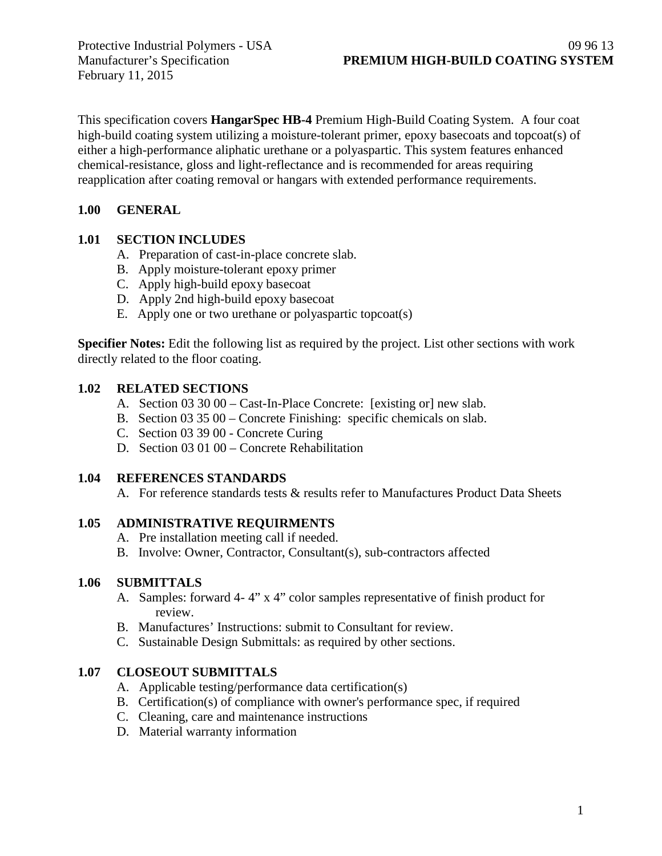February 11, 2015

This specification covers **HangarSpec HB-4** Premium High-Build Coating System. A four coat high-build coating system utilizing a moisture-tolerant primer, epoxy basecoats and topcoat(s) of either a high-performance aliphatic urethane or a polyaspartic. This system features enhanced chemical-resistance, gloss and light-reflectance and is recommended for areas requiring reapplication after coating removal or hangars with extended performance requirements.

# **1.00 GENERAL**

# **1.01 SECTION INCLUDES**

- A. Preparation of cast-in-place concrete slab.
- B. Apply moisture-tolerant epoxy primer
- C. Apply high-build epoxy basecoat
- D. Apply 2nd high-build epoxy basecoat
- E. Apply one or two urethane or polyaspartic topcoat(s)

**Specifier Notes:** Edit the following list as required by the project. List other sections with work directly related to the floor coating.

# **1.02 RELATED SECTIONS**

- A. Section 03 30 00 Cast-In-Place Concrete: [existing or] new slab.
- B. Section 03 35 00 Concrete Finishing: specific chemicals on slab.
- C. Section 03 39 00 Concrete Curing
- D. Section 03 01 00 Concrete Rehabilitation

# **1.04 REFERENCES STANDARDS**

A. For reference standards tests & results refer to Manufactures Product Data Sheets

### **1.05 ADMINISTRATIVE REQUIRMENTS**

- A. Pre installation meeting call if needed.
- B. Involve: Owner, Contractor, Consultant(s), sub-contractors affected

### **1.06 SUBMITTALS**

- A. Samples: forward 4- 4" x 4" color samples representative of finish product for review.
- B. Manufactures' Instructions: submit to Consultant for review.
- C. Sustainable Design Submittals: as required by other sections.

# **1.07 CLOSEOUT SUBMITTALS**

- A. Applicable testing/performance data certification(s)
- B. Certification(s) of compliance with owner's performance spec, if required
- C. Cleaning, care and maintenance instructions
- D. Material warranty information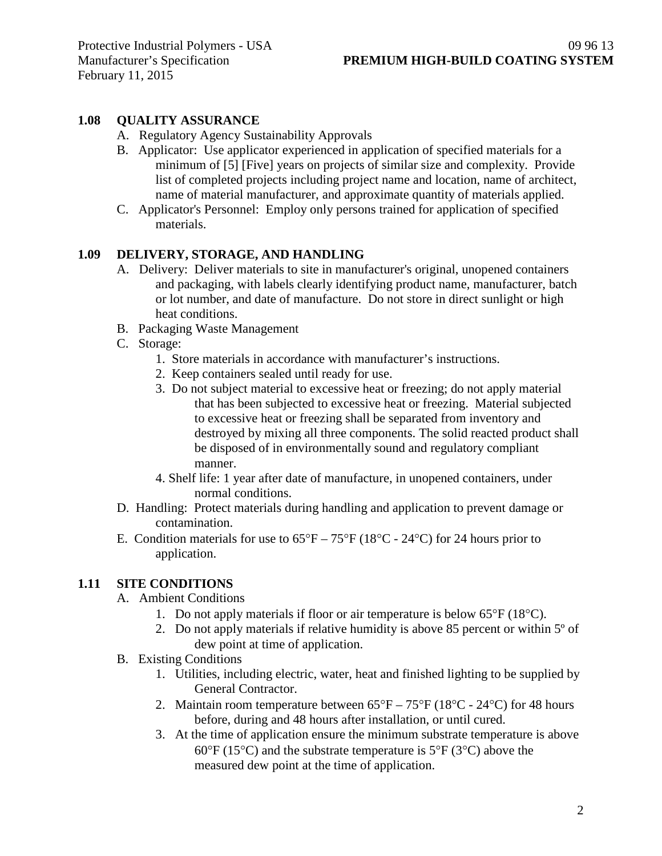# **1.08 QUALITY ASSURANCE**

- A. Regulatory Agency Sustainability Approvals
- B. Applicator: Use applicator experienced in application of specified materials for a minimum of [5] [Five] years on projects of similar size and complexity. Provide list of completed projects including project name and location, name of architect, name of material manufacturer, and approximate quantity of materials applied.
- C. Applicator's Personnel: Employ only persons trained for application of specified materials.

### **1.09 DELIVERY, STORAGE, AND HANDLING**

- A. Delivery: Deliver materials to site in manufacturer's original, unopened containers and packaging, with labels clearly identifying product name, manufacturer, batch or lot number, and date of manufacture. Do not store in direct sunlight or high heat conditions.
- B. Packaging Waste Management
- C. Storage:
	- 1. Store materials in accordance with manufacturer's instructions.
	- 2. Keep containers sealed until ready for use.
	- 3. Do not subject material to excessive heat or freezing; do not apply material that has been subjected to excessive heat or freezing. Material subjected to excessive heat or freezing shall be separated from inventory and destroyed by mixing all three components. The solid reacted product shall be disposed of in environmentally sound and regulatory compliant manner.
	- 4. Shelf life: 1 year after date of manufacture, in unopened containers, under normal conditions.
- D. Handling: Protect materials during handling and application to prevent damage or contamination.
- E. Condition materials for use to  $65^{\circ}F 75^{\circ}F (18^{\circ}C 24^{\circ}C)$  for 24 hours prior to application.

### **1.11 SITE CONDITIONS**

- A. Ambient Conditions
	- 1. Do not apply materials if floor or air temperature is below 65°F (18°C).
	- 2. Do not apply materials if relative humidity is above 85 percent or within 5º of dew point at time of application.
- B. Existing Conditions
	- 1. Utilities, including electric, water, heat and finished lighting to be supplied by General Contractor.
	- 2. Maintain room temperature between  $65^{\circ}F 75^{\circ}F (18^{\circ}C 24^{\circ}C)$  for 48 hours before, during and 48 hours after installation, or until cured.
	- 3. At the time of application ensure the minimum substrate temperature is above  $60^{\circ}$ F (15<sup>o</sup>C) and the substrate temperature is 5<sup>o</sup>F (3<sup>o</sup>C) above the measured dew point at the time of application.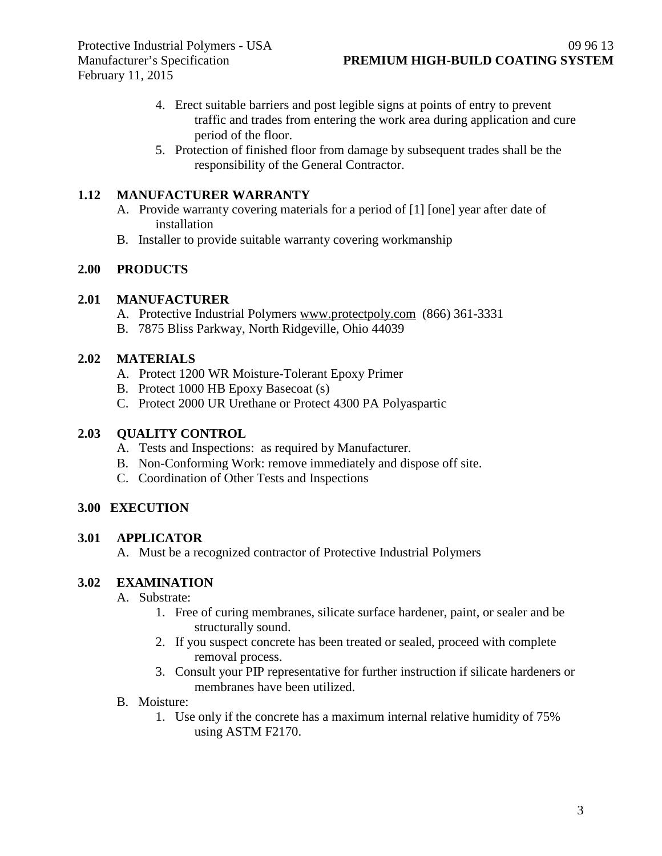- 4. Erect suitable barriers and post legible signs at points of entry to prevent traffic and trades from entering the work area during application and cure period of the floor.
- 5. Protection of finished floor from damage by subsequent trades shall be the responsibility of the General Contractor.

# **1.12 MANUFACTURER WARRANTY**

- A. Provide warranty covering materials for a period of [1] [one] year after date of installation
- B. Installer to provide suitable warranty covering workmanship

# **2.00 PRODUCTS**

### **2.01 MANUFACTURER**

- A. Protective Industrial Polymers [www.protectpoly.com](http://www.protectpoly.com/) (866) 361-3331
- B. 7875 Bliss Parkway, North Ridgeville, Ohio 44039

### **2.02 MATERIALS**

- A. Protect 1200 WR Moisture-Tolerant Epoxy Primer
- B. Protect 1000 HB Epoxy Basecoat (s)
- C. Protect 2000 UR Urethane or Protect 4300 PA Polyaspartic

# **2.03 QUALITY CONTROL**

- A. Tests and Inspections: as required by Manufacturer.
- B. Non-Conforming Work: remove immediately and dispose off site.
- C. Coordination of Other Tests and Inspections

### **3.00 EXECUTION**

### **3.01 APPLICATOR**

A. Must be a recognized contractor of Protective Industrial Polymers

### **3.02 EXAMINATION**

- A. Substrate:
	- 1. Free of curing membranes, silicate surface hardener, paint, or sealer and be structurally sound.
	- 2. If you suspect concrete has been treated or sealed, proceed with complete removal process.
	- 3. Consult your PIP representative for further instruction if silicate hardeners or membranes have been utilized.
- B. Moisture:
	- 1. Use only if the concrete has a maximum internal relative humidity of 75% using ASTM F2170.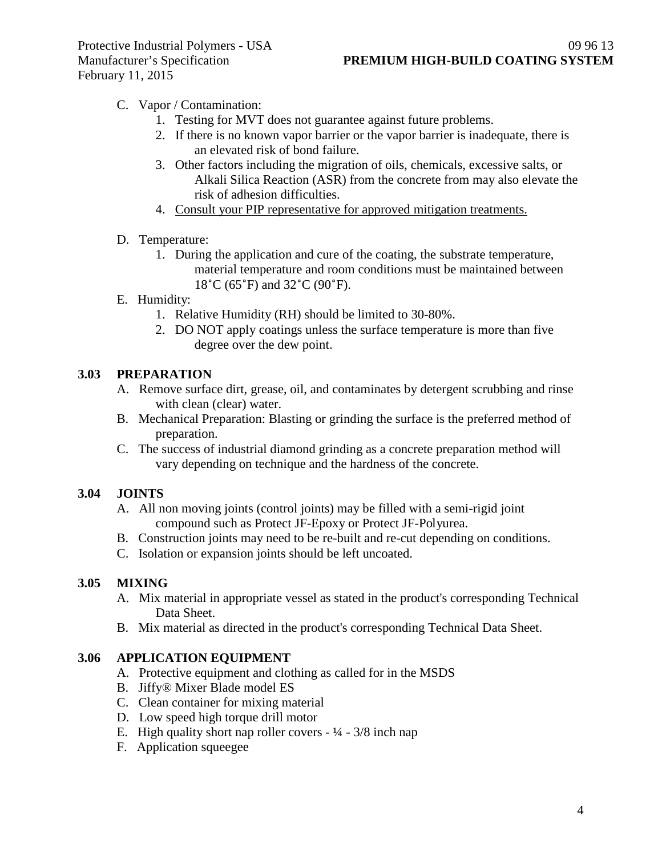# C. Vapor / Contamination:

- 1. Testing for MVT does not guarantee against future problems.
- 2. If there is no known vapor barrier or the vapor barrier is inadequate, there is an elevated risk of bond failure.
- 3. Other factors including the migration of oils, chemicals, excessive salts, or Alkali Silica Reaction (ASR) from the concrete from may also elevate the risk of adhesion difficulties.
- 4. Consult your PIP representative for approved mitigation treatments.

#### D. Temperature:

1. During the application and cure of the coating, the substrate temperature, material temperature and room conditions must be maintained between 18˚C (65˚F) and 32˚C (90˚F).

### E. Humidity:

- 1. Relative Humidity (RH) should be limited to 30-80%.
- 2. DO NOT apply coatings unless the surface temperature is more than five degree over the dew point.

### **3.03 PREPARATION**

- A. Remove surface dirt, grease, oil, and contaminates by detergent scrubbing and rinse with clean (clear) water.
- B. Mechanical Preparation: Blasting or grinding the surface is the preferred method of preparation.
- C. The success of industrial diamond grinding as a concrete preparation method will vary depending on technique and the hardness of the concrete.

### **3.04 JOINTS**

- A. All non moving joints (control joints) may be filled with a semi-rigid joint compound such as Protect JF-Epoxy or Protect JF-Polyurea.
- B. Construction joints may need to be re-built and re-cut depending on conditions.
- C. Isolation or expansion joints should be left uncoated.

### **3.05 MIXING**

- A. Mix material in appropriate vessel as stated in the product's corresponding Technical Data Sheet.
- B. Mix material as directed in the product's corresponding Technical Data Sheet.

### **3.06 APPLICATION EQUIPMENT**

- A. Protective equipment and clothing as called for in the MSDS
- B. Jiffy® Mixer Blade model ES
- C. Clean container for mixing material
- D. Low speed high torque drill motor
- E. High quality short nap roller covers  $\frac{1}{4} \frac{3}{8}$  inch nap
- F. Application squeegee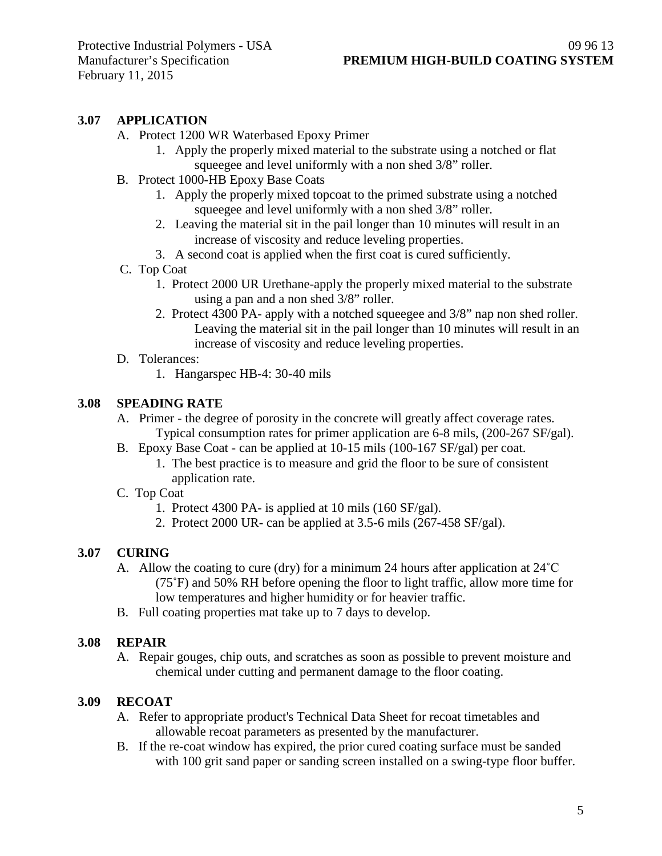### **3.07 APPLICATION**

- A. Protect 1200 WR Waterbased Epoxy Primer
	- 1. Apply the properly mixed material to the substrate using a notched or flat squeegee and level uniformly with a non shed 3/8" roller.
- B. Protect 1000-HB Epoxy Base Coats
	- 1. Apply the properly mixed topcoat to the primed substrate using a notched squeegee and level uniformly with a non shed 3/8" roller.
	- 2. Leaving the material sit in the pail longer than 10 minutes will result in an increase of viscosity and reduce leveling properties.
	- 3. A second coat is applied when the first coat is cured sufficiently.
- C. Top Coat
	- 1. Protect 2000 UR Urethane-apply the properly mixed material to the substrate using a pan and a non shed 3/8" roller.
	- 2. Protect 4300 PA- apply with a notched squeegee and 3/8" nap non shed roller. Leaving the material sit in the pail longer than 10 minutes will result in an increase of viscosity and reduce leveling properties.
- D. Tolerances:
	- 1. Hangarspec HB-4: 30-40 mils

### **3.08 SPEADING RATE**

- A. Primer the degree of porosity in the concrete will greatly affect coverage rates. Typical consumption rates for primer application are 6-8 mils, (200-267 SF/gal).
- B. Epoxy Base Coat can be applied at 10-15 mils (100-167 SF/gal) per coat.
	- 1. The best practice is to measure and grid the floor to be sure of consistent application rate.
- C. Top Coat
	- 1. Protect 4300 PA- is applied at 10 mils (160 SF/gal).
	- 2. Protect 2000 UR- can be applied at 3.5-6 mils (267-458 SF/gal).

### **3.07 CURING**

- A. Allow the coating to cure (dry) for a minimum 24 hours after application at  $24^{\circ}$ C (75˚F) and 50% RH before opening the floor to light traffic, allow more time for low temperatures and higher humidity or for heavier traffic.
- B. Full coating properties mat take up to 7 days to develop.

### **3.08 REPAIR**

A. Repair gouges, chip outs, and scratches as soon as possible to prevent moisture and chemical under cutting and permanent damage to the floor coating.

### **3.09 RECOAT**

- A. Refer to appropriate product's Technical Data Sheet for recoat timetables and allowable recoat parameters as presented by the manufacturer.
- B. If the re-coat window has expired, the prior cured coating surface must be sanded with 100 grit sand paper or sanding screen installed on a swing-type floor buffer.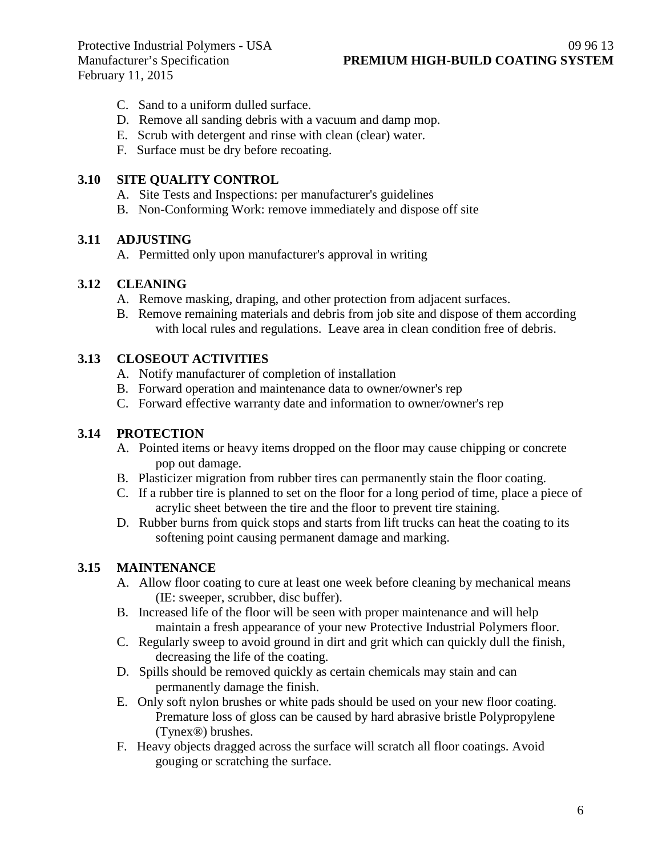February 11, 2015

- C. Sand to a uniform dulled surface.
- D. Remove all sanding debris with a vacuum and damp mop.
- E. Scrub with detergent and rinse with clean (clear) water.
- F. Surface must be dry before recoating.

#### **3.10 SITE QUALITY CONTROL**

- A. Site Tests and Inspections: per manufacturer's guidelines
- B. Non-Conforming Work: remove immediately and dispose off site

#### **3.11 ADJUSTING**

A. Permitted only upon manufacturer's approval in writing

#### **3.12 CLEANING**

- A. Remove masking, draping, and other protection from adjacent surfaces.
- B. Remove remaining materials and debris from job site and dispose of them according with local rules and regulations. Leave area in clean condition free of debris.

# **3.13 CLOSEOUT ACTIVITIES**

- A. Notify manufacturer of completion of installation
- B. Forward operation and maintenance data to owner/owner's rep
- C. Forward effective warranty date and information to owner/owner's rep

#### **3.14 PROTECTION**

- A. Pointed items or heavy items dropped on the floor may cause chipping or concrete pop out damage.
- B. Plasticizer migration from rubber tires can permanently stain the floor coating.
- C. If a rubber tire is planned to set on the floor for a long period of time, place a piece of acrylic sheet between the tire and the floor to prevent tire staining.
- D. Rubber burns from quick stops and starts from lift trucks can heat the coating to its softening point causing permanent damage and marking.

### **3.15 MAINTENANCE**

- A. Allow floor coating to cure at least one week before cleaning by mechanical means (IE: sweeper, scrubber, disc buffer).
- B. Increased life of the floor will be seen with proper maintenance and will help maintain a fresh appearance of your new Protective Industrial Polymers floor.
- C. Regularly sweep to avoid ground in dirt and grit which can quickly dull the finish, decreasing the life of the coating.
- D. Spills should be removed quickly as certain chemicals may stain and can permanently damage the finish.
- E. Only soft nylon brushes or white pads should be used on your new floor coating. Premature loss of gloss can be caused by hard abrasive bristle Polypropylene (Tynex®) brushes.
- F. Heavy objects dragged across the surface will scratch all floor coatings. Avoid gouging or scratching the surface.